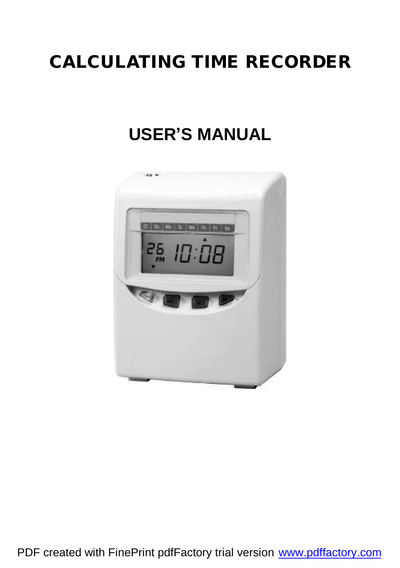# **CALCULATING TIME RECORDER**

# **USER'S MANUAL**

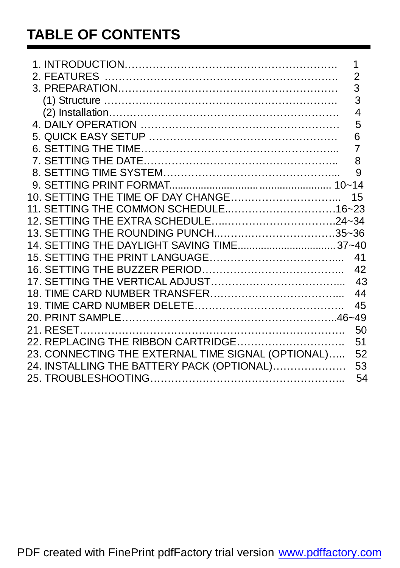## **TABLE OF CONTENTS**

|                                                    | 1              |
|----------------------------------------------------|----------------|
|                                                    | $\overline{2}$ |
|                                                    | 3              |
|                                                    | 3              |
|                                                    | $\overline{4}$ |
|                                                    | 5              |
|                                                    | 6              |
|                                                    | $\overline{7}$ |
|                                                    | 8              |
|                                                    | 9              |
|                                                    |                |
|                                                    |                |
| 11. SETTING THE COMMON SCHEDULE16~23               |                |
|                                                    |                |
|                                                    |                |
|                                                    |                |
|                                                    | 41             |
|                                                    | 42             |
|                                                    | 43             |
|                                                    | 44             |
|                                                    | 45             |
|                                                    |                |
|                                                    | 50             |
| 22. REPLACING THE RIBBON CARTRIDGE                 | 51             |
| 23. CONNECTING THE EXTERNAL TIME SIGNAL (OPTIONAL) | 52             |
| 24. INSTALLING THE BATTERY PACK (OPTIONAL)         | 53             |
|                                                    |                |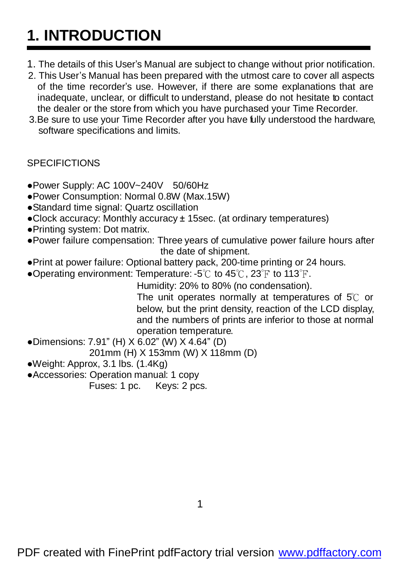# **1. INTRODUCTION**

- 1. The details of this User's Manual are subject to change without prior notification.
- 2. This User's Manual has been prepared with the utmost care to cover all aspects of the time recorder's use. However, if there are some explanations that are inadequate, unclear, or difficult to understand, please do not hesitate to contact the dealer or the store from which you have purchased your Time Recorder.
- 3.Be sure to use your Time Recorder after you have fully understood the hardware, software specifications and limits.

#### **SPECIFICTIONS**

- ●Power Supply: AC 100V~240V 50/60Hz
- ●Power Consumption: Normal 0.8W (Max.15W)
- ●Standard time signal: Quartz oscillation
- ●Clock accuracy: Monthly accuracy ± 15sec. (at ordinary temperatures)
- ●Printing system: Dot matrix.
- ●Power failure compensation: Three years of cumulative power failure hours after the date of shipment.
- ●Print at power failure: Optional battery pack, 200-time printing or 24 hours.
- ●Operating environment: Temperature: -5℃ to 45℃, 23℉ to 113℉.

Humidity: 20% to 80% (no condensation).

 The unit operates normally at temperatures of 5℃ or below, but the print density, reaction of the LCD display, and the numbers of prints are inferior to those at normal operation temperature.

●Dimensions: 7.91" (H) X 6.02" (W) X 4.64" (D)

201mm (H) X 153mm (W) X 118mm (D)

- ●Weight: Approx, 3.1 lbs. (1.4Kg)
- ●Accessories: Operation manual: 1 copy

Fuses: 1 pc. Keys: 2 pcs.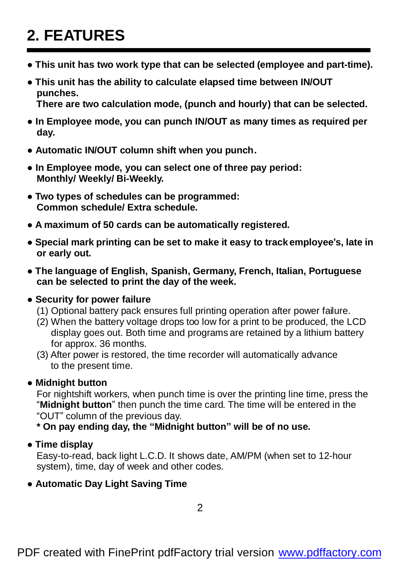# **2. FEATURES**

- **● This unit has two work type that can be selected (employee and part-time).**
- **This unit has the ability to calculate elapsed time between IN/OUT punches.**

**There are two calculation mode, (punch and hourly) that can be selected.**

- **In Employee mode, you can punch IN/OUT as many times as required per day.**
- **Automatic IN/OUT column shift when you punch.**
- **In Employee mode, you can select one of three pay period: Monthly/ Weekly/ Bi-Weekly.**
- **Two types of schedules can be programmed: Common schedule/ Extra schedule.**
- **A maximum of 50 cards can be automatically registered.**
- **● Special mark printing can be set to make it easy to trackemployee's, late in or early out.**
- **● The language of English, Spanish, Germany, French, Italian, Portuguese can be selected to print the day of the week.**

#### ● **Security for power failure**

- (1) Optional battery pack ensures full printing operation after power failure.
- (2) When the battery voltage drops too low for a print to be produced, the LCD display goes out. Both time and programs are retained by a lithium battery for approx. 36 months.
- (3) After power is restored, the time recorder will automatically advance to the present time.

#### **● Midnight button**

For nightshift workers, when punch time is over the printing line time, press the "**Midnight button**" then punch the time card. The time will be entered in the "OUT" column of the previous day.

**\* On pay ending day, the "Midnight button" will be of no use.**

#### ● **Time display**

Easy-to-read, back light L.C.D. It shows date, AM/PM (when set to 12-hour system), time, day of week and other codes.

#### ● **Automatic Day Light Saving Time**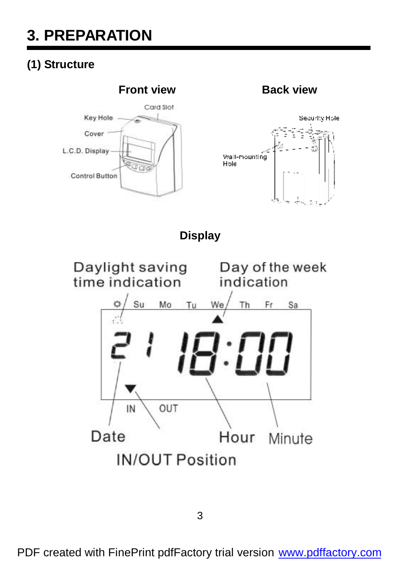## **3. PREPARATION**

## **(1) Structure**



3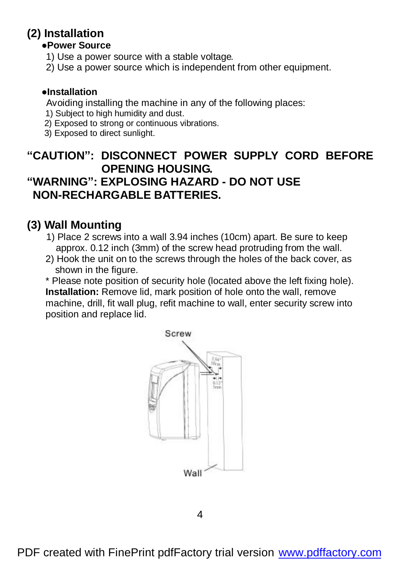### **(2) Installation**

#### ●**Power Source**

- 1) Use a power source with a stable voltage.
- 2) Use a power source which is independent from other equipment.

#### ●**Installation**

Avoiding installing the machine in any of the following places:

- 1) Subject to high humidity and dust.
- 2) Exposed to strong or continuous vibrations.
- 3) Exposed to direct sunlight.

### **"CAUTION": DISCONNECT POWER SUPPLY CORD BEFORE OPENING HOUSING. "WARNING": EXPLOSING HAZARD - DO NOT USE NON-RECHARGABLE BATTERIES.**

### **(3) Wall Mounting**

- 1) Place 2 screws into a wall 3.94 inches (10cm) apart. Be sure to keep approx. 0.12 inch (3mm) of the screw head protruding from the wall.
- 2) Hook the unit on to the screws through the holes of the back cover, as shown in the figure.

\* Please note position of security hole (located above the left fixing hole). **Installation:** Remove lid, mark position of hole onto the wall, remove machine, drill, fit wall plug, refit machine to wall, enter security screw into position and replace lid.

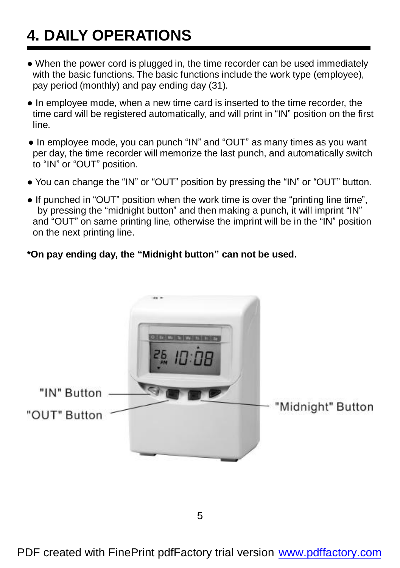# **4. DAILY OPERATIONS**

- When the power cord is plugged in, the time recorder can be used immediately with the basic functions. The basic functions include the work type (employee), pay period (monthly) and pay ending day (31).
- In employee mode, when a new time card is inserted to the time recorder, the time card will be registered automatically, and will print in "IN" position on the first line.
- In employee mode, you can punch "IN" and "OUT" as many times as you want per day, the time recorder will memorize the last punch, and automatically switch to "IN" or "OUT" position.
- You can change the "IN" or "OUT" position by pressing the "IN" or "OUT" button.
- If punched in "OUT" position when the work time is over the "printing line time", by pressing the "midnight button" and then making a punch, it will imprint "IN" and "OUT" on same printing line, otherwise the imprint will be in the "IN" position on the next printing line.

#### **\*On pay ending day, the "Midnight button" can not be used.**

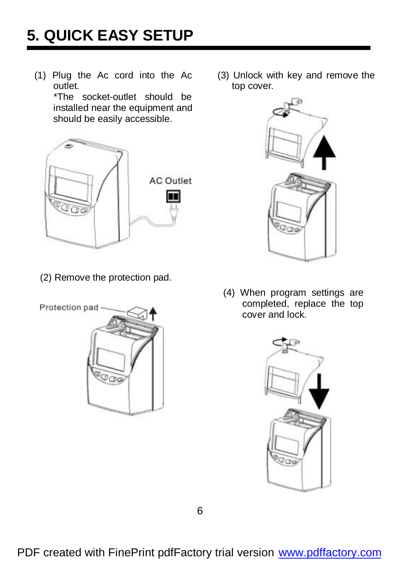# **5. QUICK EASY SETUP**

(1) Plug the Ac cord into the Ac outlet.

 \*The socket-outlet should be installed near the equipment and should be easily accessible.



(2) Remove the protection pad.



(3) Unlock with key and remove the top cover.



(4) When program settings are completed, replace the top cover and lock.

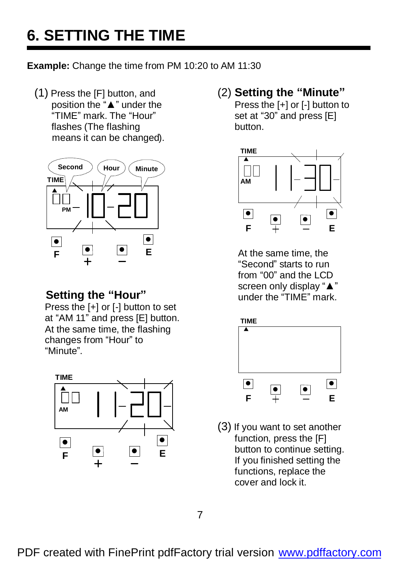# **6. SETTING THE TIME**

**Example:** Change the time from PM 10:20 to AM 11:30

(1) Press the [F] button, and position the "▲" under the "TIME" mark. The "Hour" flashes (The flashing means it can be changed).



### **Setting the "Hour"**

Press the [+] or [-] button to set at "AM 11" and press [E] button. At the same time, the flashing changes from "Hour" to "Minute".



(2) **Setting the "Minute"**

Press the [+] or [-] button to set at "30" and press [E] button.



At the same time, the "Second" starts to run from "00" and the LCD screen only display "▲" under the "TIME" mark.



(3) If you want to set another function, press the [F] button to continue setting. If you finished setting the functions, replace the cover and lock it.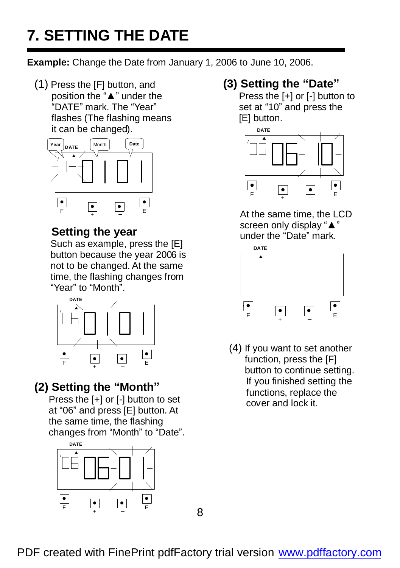# **7. SETTING THE DATE**

**Example:** Change the Date from January 1, 2006 to June 10, 2006.

(1) Press the [F] button, and position the "▲" under the "DATE" mark. The "Year" flashes (The flashing means it can be changed).



### **Setting the year**

Such as example, press the [E] button because the year 2006 is not to be changed. At the same time, the flashing changes from "Year" to "Month".



## **(2) Setting the "Month"**

Press the [+] or [-] button to set at "06" and press [E] button. At the same time, the flashing changes from "Month" to "Date".



### **(3) Setting the "Date"**

Press the [+] or [-] button to set at "10" and press the [E] button.



At the same time, the LCD screen only display "▲" under the "Date" mark.



(4) If you want to set another function, press the [F] button to continue setting. If you finished setting the functions, replace the cover and lock it.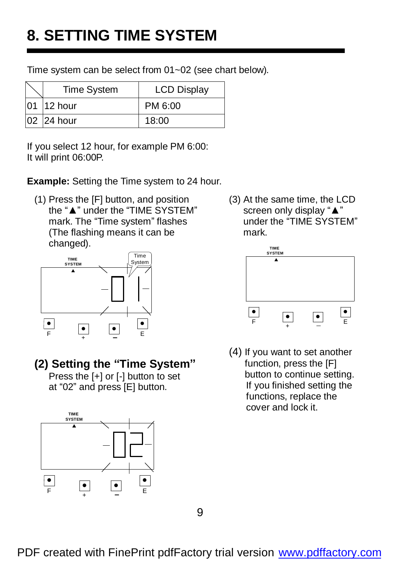## **8. SETTING TIME SYSTEM**

Time system can be select from 01~02 (see chart below).

| <b>Time System</b> | <b>LCD Display</b> |
|--------------------|--------------------|
| 01 12 hour         | PM 6:00            |
| 02 24 hour         | 18:00              |

If you select 12 hour, for example PM 6:00: It will print 06:00P.

**Example:** Setting the Time system to 24 hour.

(1) Press the [F] button, and position the "▲" under the "TIME SYSTEM" mark. The "Time system" flashes (The flashing means it can be changed).



### **(2) Setting the "Time System"**

Press the [+] or [-] button to set at "02" and press [E] button.



(3) At the same time, the LCD screen only display "▲" under the "TIME SYSTEM" mark.



(4) If you want to set another function, press the [F] button to continue setting. If you finished setting the functions, replace the cover and lock it.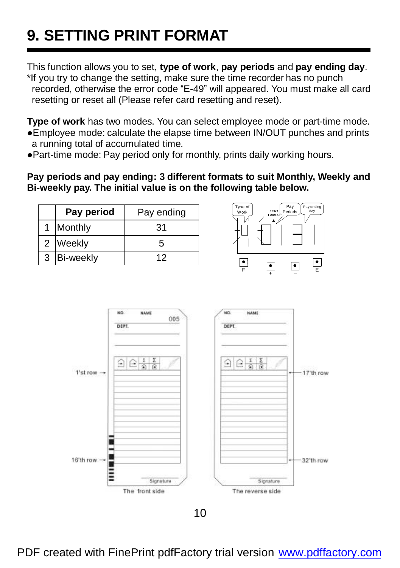# **9. SETTING PRINT FORMAT**

This function allows you to set, **type of work**, **pay periods** and **pay ending day**. \*If you try to change the setting, make sure the time recorder has no punch recorded, otherwise the error code "E-49" will appeared. You must make all card resetting or reset all (Please refer card resetting and reset).

**Type of work** has two modes. You can select employee mode or part-time mode. ●Employee mode: calculate the elapse time between IN/OUT punches and prints a running total of accumulated time.

●Part-time mode: Pay period only for monthly, prints daily working hours.

**Pay periods and pay ending: 3 different formats to suit Monthly, Weekly and Bi-weekly pay. The initial value is on the following table below.**

| Pay period  | Pay ending |
|-------------|------------|
| Monthly     | 31         |
| 2 Weekly    | 5          |
| 3 Bi-weekly | 1')        |



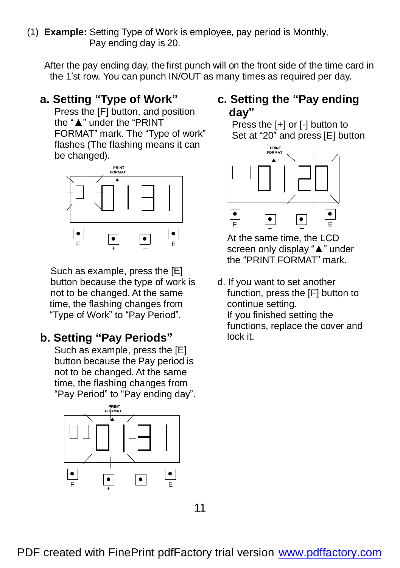(1) **Example:** Setting Type of Work is employee, pay period is Monthly, Pay ending day is 20.

 After the pay ending day, the first punch will on the front side of the time card in the 1'st row. You can punch IN/OUT as many times as required per day.

**a. Setting "Type of Work"** Press the [F] button, and position the "▲" under the "PRINT FORMAT" mark. The "Type of work" flashes (The flashing means it can be changed).



Such as example, press the [E] button because the type of work is not to be changed. At the same time, the flashing changes from "Type of Work" to "Pay Period".

### **b. Setting "Pay Periods"**

Such as example, press the [E] button because the Pay period is not to be changed. At the same time, the flashing changes from "Pay Period" to "Pay ending day".



### **c. Setting the "Pay ending day"**

Press the [+] or [-] button to Set at "20" and press [E] button.



At the same time, the LCD screen only display "▲" under the "PRINT FORMAT" mark.

d. If you want to set another function, press the [F] button to continue setting. If you finished setting the functions, replace the cover and lock it.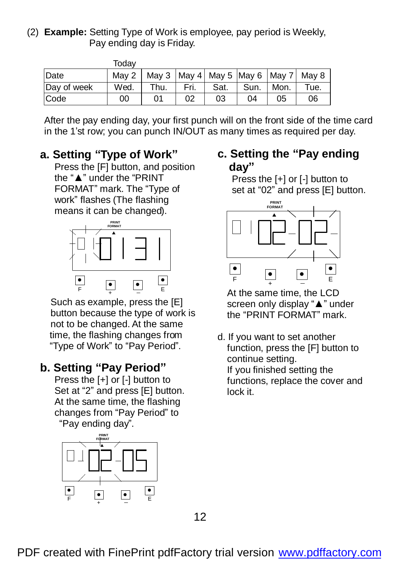(2) **Example:** Setting Type of Work is employee, pay period is Weekly, Pay ending day is Friday.

|             | Todav |      |      |                                               |      |      |      |
|-------------|-------|------|------|-----------------------------------------------|------|------|------|
| Date        | Mav 2 |      |      | May 3   May 4   May 5   May 6   May 7   May 8 |      |      |      |
| Day of week | Wed.  | Thu. | Fri. | Sat.                                          | Sun. | Mon. | Tue. |
| Code        | 00    | 01   | 02   | 03                                            | 04   | 05   | 06   |

After the pay ending day, your first punch will on the front side of the time card in the 1'st row; you can punch IN/OUT as many times as required per day.

### **a. Setting "Type of Work"**

Press the [F] button, and position the "▲" under the "PRINT FORMAT" mark. The "Type of work" flashes (The flashing means it can be changed).



Such as example, press the [E] button because the type of work is not to be changed. At the same time, the flashing changes from "Type of Work" to "Pay Period".

### **b. Setting "Pay Period"**

Press the [+] or [-] button to Set at "2" and press [E] button. At the same time, the flashing changes from "Pay Period" to "Pay ending day".



### **c. Setting the "Pay ending day"**

Press the [+] or [-] button to set at "02" and press [E] button.



At the same time, the LCD screen only display "▲" under the "PRINT FORMAT" mark.

d. If you want to set another function, press the [F] button to continue setting. If you finished setting the functions, replace the cover and lock it.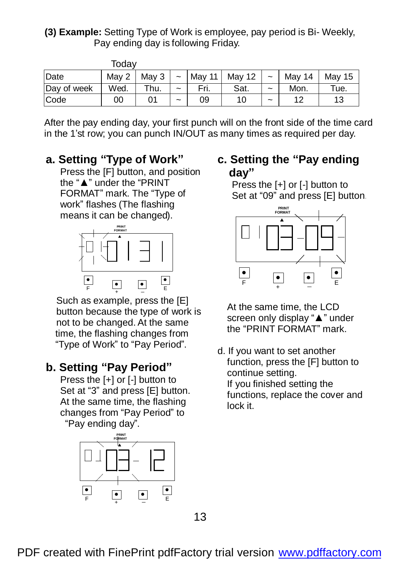**(3) Example:** Setting Type of Work is employee, pay period is Bi- Weekly, Pay ending day is following Friday.

|             | Today |       |                       |        |        |                       |        |        |
|-------------|-------|-------|-----------------------|--------|--------|-----------------------|--------|--------|
| Date        | Mav 2 | May 3 | $\tilde{}$            | May 11 | May 12 | $\sim$                | May 14 | May 15 |
| Day of week | Wed.  | Thu.  | $\tilde{\phantom{a}}$ | Fri.   | Sat.   | $\tilde{\phantom{a}}$ | Mon.   | Tue.   |
| Code        | 00    |       | $\tilde{\phantom{a}}$ | 09     | 10     | $\tilde{\phantom{a}}$ | 12     | 13     |

After the pay ending day, your first punch will on the front side of the time card in the 1'st row; you can punch IN/OUT as many times as required per day.

### **a. Setting "Type of Work"**

Press the [F] button, and position the "▲" under the "PRINT FORMAT" mark. The "Type of work" flashes (The flashing means it can be changed).



Such as example, press the [E] button because the type of work is not to be changed. At the same time, the flashing changes from "Type of Work" to "Pay Period".

### **b. Setting "Pay Period"**

Press the [+] or [-] button to Set at "3" and press [E] button. At the same time, the flashing changes from "Pay Period" to "Pay ending day".



### **c. Setting the "Pay ending day"**

Press the [+] or [-] button to Set at "09" and press [E] button.



At the same time, the LCD screen only display "▲" under the "PRINT FORMAT" mark.

d. If you want to set another function, press the [F] button to continue setting. If you finished setting the functions, replace the cover and lock it.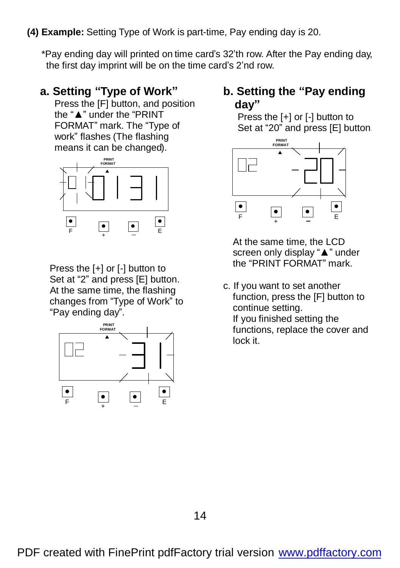**(4) Example:** Setting Type of Work is part-time, Pay ending day is 20.

\*Pay ending day will printed on time card's 32'th row. After the Pay ending day, the first day imprint will be on the time card's 2'nd row.

**a. Setting "Type of Work"**

Press the [F] button, and position the "▲" under the "PRINT FORMAT" mark. The "Type of work" flashes (The flashing means it can be changed).



Press the [+] or [-] button to Set at "2" and press [E] button. At the same time, the flashing changes from "Type of Work" to "Pay ending day".



### **b. Setting the "Pay ending day"**

Press the [+] or [-] button to Set at "20" and press [E] button.



At the same time, the LCD screen only display "▲" under the "PRINT FORMAT" mark.

c. If you want to set another function, press the [F] button to continue setting. If you finished setting the functions, replace the cover and lock it.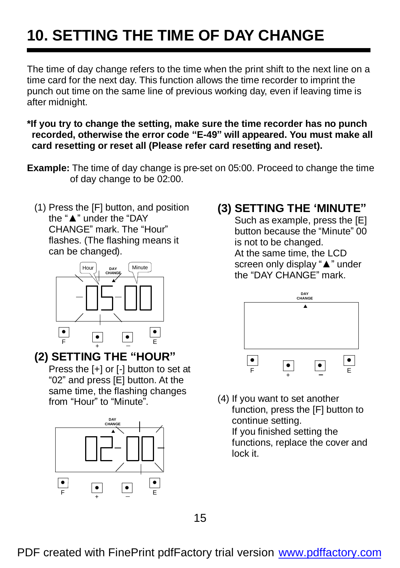# **10. SETTING THE TIME OF DAY CHANGE**

The time of day change refers to the time when the print shift to the next line on a time card for the next day. This function allows the time recorder to imprint the punch out time on the same line of previous working day, even if leaving time is after midnight.

**\*If you try to change the setting, make sure the time recorder has no punch recorded, otherwise the error code "E-49" will appeared. You must make all card resetting or reset all (Please refer card resetting and reset).**

- **Example:** The time of day change is pre-set on 05:00. Proceed to change the time of day change to be 02:00.
	- (1) Press the [F] button, and position the "▲" under the "DAY CHANGE" mark. The "Hour" flashes. (The flashing means it can be changed).



#### **(2) SETTING THE "HOUR"**

Press the [+] or [-] button to set at "02" and press [E] button. At the same time, the flashing changes from "Hour" to "Minute".



### **(3) SETTING THE 'MINUTE"**

Such as example, press the [E] button because the "Minute" 00 is not to be changed. At the same time, the LCD screen only display "▲" under the "DAY CHANGE" mark.



(4) If you want to set another function, press the [F] button to continue setting.

If you finished setting the functions, replace the cover and lock it.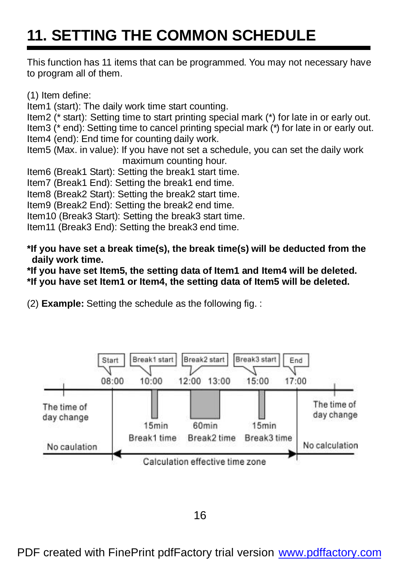# **11. SETTING THE COMMON SCHEDULE**

This function has 11 items that can be programmed. You may not necessary have to program all of them.

(1) Item define:

Item1 (start): The daily work time start counting.

Item2 (\* start): Setting time to start printing special mark (\*) for late in or early out.

Item3 (\* end): Setting time to cancel printing special mark (\*) for late in or early out. Item4 (end): End time for counting daily work.

Item5 (Max. in value): If you have not set a schedule, you can set the daily work maximum counting hour.

Item6 (Break1 Start): Setting the break1 start time.

Item7 (Break1 End): Setting the break1 end time.

Item8 (Break2 Start): Setting the break2 start time.

Item9 (Break2 End): Setting the break2 end time.

Item10 (Break3 Start): Setting the break3 start time.

Item11 (Break3 End): Setting the break3 end time.

**\*If you have set a break time(s), the break time(s) will be deducted from the daily work time.**

**\*If you have set Item5, the setting data of Item1 and Item4 will be deleted.**

**\*If you have set Item1 or Item4, the setting data of Item5 will be deleted.**

(2) **Example:** Setting the schedule as the following fig. :

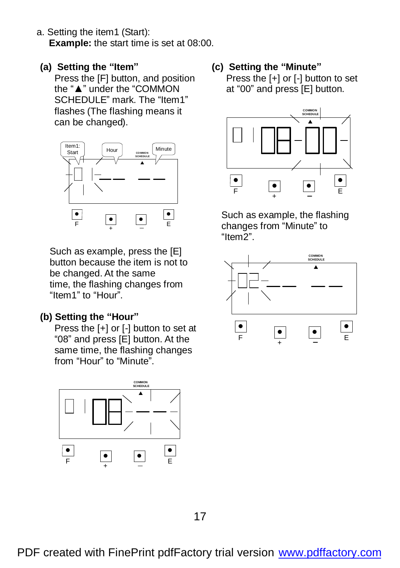- a. Setting the item1 (Start): **Example:** the start time is set at 08:00.
- **(a) Setting the "Item"** Press the [F] button, and position the "▲" under the "COMMON SCHEDULE" mark. The "Item1" flashes (The flashing means it can be changed).



Such as example, press the [E] button because the item is not to be changed. At the same time, the flashing changes from "Item1" to "Hour".

#### **(b) Setting the "Hour"**

Press the [+] or [-] button to set at "08" and press [E] button. At the same time, the flashing changes from "Hour" to "Minute".



## **(c) Setting the "Minute"**

Press the [+] or [-] button to set at "00" and press [E] button.



 Such as example, the flashing changes from "Minute" to "Item2".

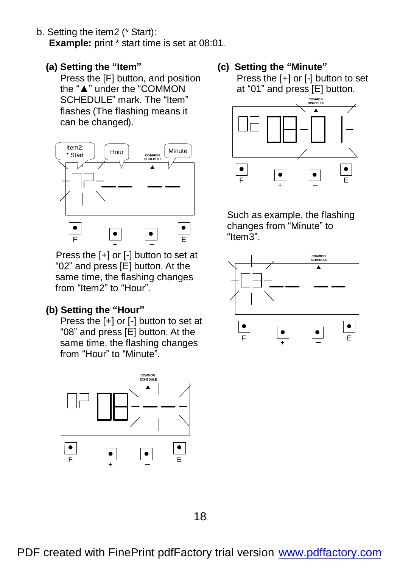- b. Setting the item2 (\* Start): **Example:** print \* start time is set at 08:01.
	- **(a) Setting the "Item"**

Press the [F] button, and position the "▲" under the "COMMON SCHEDULE" mark. The "Item" flashes (The flashing means it can be changed).



Press the [+] or [-] button to set at "02" and press [E] button. At the same time, the flashing changes from "Item2" to "Hour".

### **(b) Setting the "Hour"**

Press the [+] or [-] button to set at "08" and press [E] button. At the same time, the flashing changes from "Hour" to "Minute".



**(c) Setting the "Minute"** Press the [+] or [-] button to set at "01" and press [E] button.



 Such as example, the flashing changes from "Minute" to "Item3".

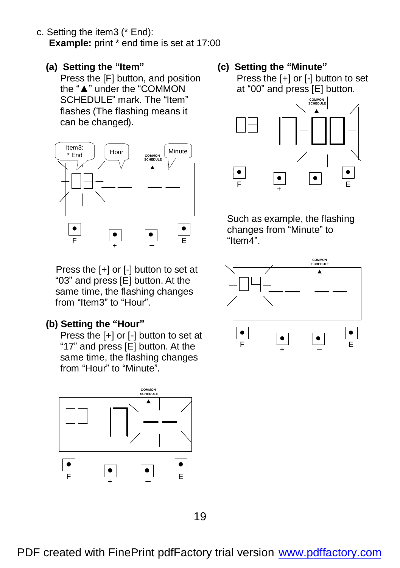- c. Setting the item3 (\* End): **Example:** print \* end time is set at 17:00
	- **(a) Setting the "Item"** Press the [F] button, and position the "▲" under the "COMMON SCHEDULE" mark. The "Item" flashes (The flashing means it can be changed).



Press the [+] or [-] button to set at "03" and press [E] button. At the same time, the flashing changes from "Item3" to "Hour".

#### **(b) Setting the "Hour"**

Press the [+] or [-] button to set at "17" and press [E] button. At the same time, the flashing changes from "Hour" to "Minute".



**(c) Setting the "Minute"** Press the [+] or [-] button to set at "00" and press [E] button.



 Such as example, the flashing changes from "Minute" to "Item4".

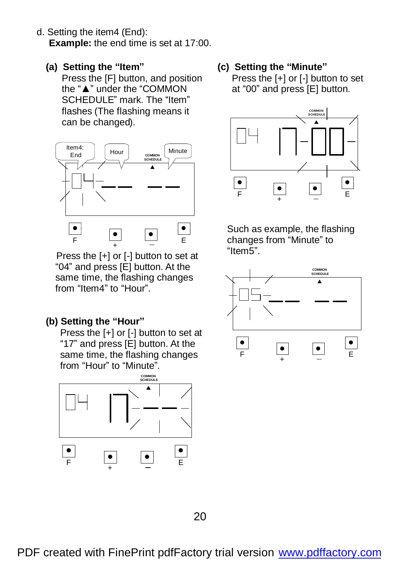- d. Setting the item4 (End): **Example:** the end time is set at 17:00.
	- **(a) Setting the "Item"** Press the [F] button, and position the "▲" under the "COMMON SCHEDULE" mark. The "Item" flashes (The flashing means it can be changed).



Press the [+] or [-] button to set at "04" and press [E] button. At the same time, the flashing changes from "Item4" to "Hour".

#### **(b) Setting the "Hour"**

Press the [+] or [-] button to set at "17" and press [E] button. At the same time, the flashing changes from "Hour" to "Minute".



**(c) Setting the "Minute"** Press the [+] or [-] button to set at "00" and press [E] button.



 Such as example, the flashing changes from "Minute" to "Item5".

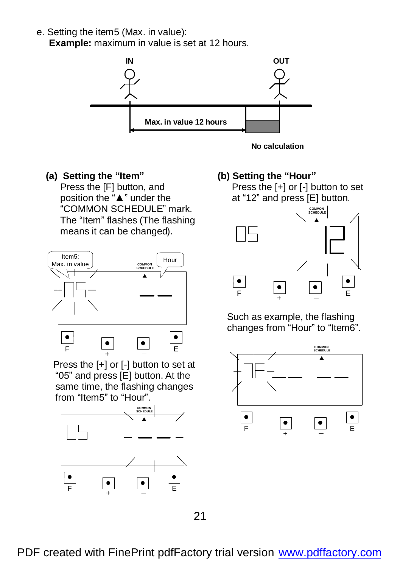e. Setting the item5 (Max. in value): **Example:** maximum in value is set at 12 hours.



**No calculation**

#### **(a) Setting the "Item"**

Press the [F] button, and position the "▲" under the "COMMON SCHEDULE" mark. The "Item" flashes (The flashing means it can be changed).





Press the [+] or [-] button to set at "05" and press [E] button. At the same time, the flashing changes from "Item5" to "Hour".



#### **(b) Setting the "Hour"**

Press the [+] or [-] button to set at "12" and press [E] button.



 Such as example, the flashing changes from "Hour" to "Item6".

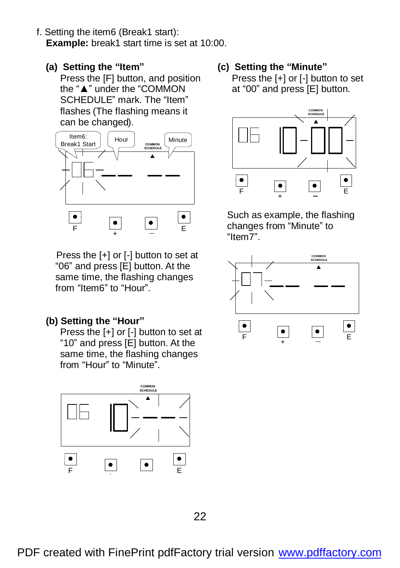- f. Setting the item6 (Break1 start): **Example:** break1 start time is set at 10:00.
	- **(a) Setting the "Item"** Press the [F] button, and position the "▲" under the "COMMON SCHEDULE" mark. The "Item" flashes (The flashing means it can be changed).



Press the [+] or [-] button to set at "06" and press [E] button. At the same time, the flashing changes from "Item6" to "Hour".

#### **(b) Setting the "Hour"**

Press the [+] or [-] button to set at "10" and press [E] button. At the same time, the flashing changes from "Hour" to "Minute".



**(c) Setting the "Minute"** Press the [+] or [-] button to set at "00" and press [E] button.



 Such as example, the flashing changes from "Minute" to "Item7".

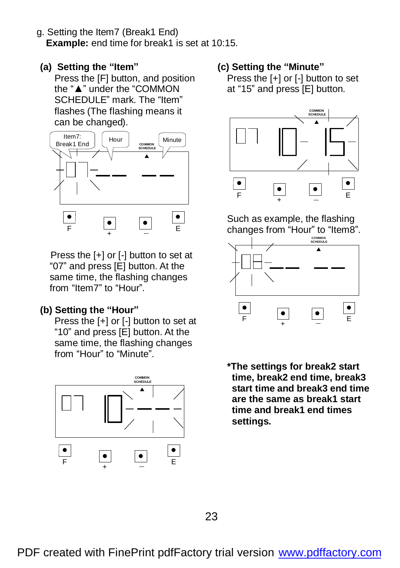- g. Setting the Item7 (Break1 End) **Example:** end time for break1 is set at 10:15.
- **(a) Setting the "Item"**

Press the [F] button, and position the "▲" under the "COMMON SCHEDULE" mark. The "Item" flashes (The flashing means it can be changed).



Press the [+] or [-] button to set at "07" and press [E] button. At the same time, the flashing changes from "Item7" to "Hour".

#### **(b) Setting the "Hour"**

Press the [+] or [-] button to set at "10" and press [E] button. At the same time, the flashing changes from "Hour" to "Minute".



#### **(c) Setting the "Minute"**

Press the [+] or [-] button to set at "15" and press [E] button.



 Such as example, the flashing changes from "Hour" to "Item8".



**\*The settings for break2 start time, break2 end time, break3 start time and break3 end time are the same as break1 start time and break1 end times settings.**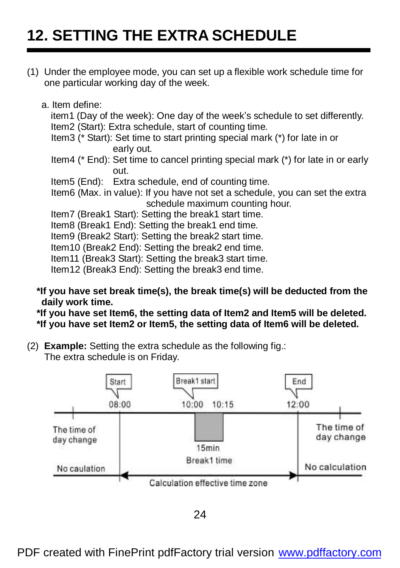# **12. SETTING THE EXTRA SCHEDULE**

- (1) Under the employee mode, you can set up a flexible work schedule time for one particular working day of the week.
	- a. Item define:

item1 (Day of the week): One day of the week's schedule to set differently. Item2 (Start): Extra schedule, start of counting time.

- Item3 (\* Start): Set time to start printing special mark (\*) for late in or early out.
- Item4 (\* End): Set time to cancel printing special mark (\*) for late in or early out.

Item5 (End): Extra schedule, end of counting time.

Item6 (Max. in value): If you have not set a schedule, you can set the extra schedule maximum counting hour.

Item7 (Break1 Start): Setting the break1 start time.

Item8 (Break1 End): Setting the break1 end time.

Item9 (Break2 Start): Setting the break2 start time.

Item10 (Break2 End): Setting the break2 end time.

Item11 (Break3 Start): Setting the break3 start time.

Item12 (Break3 End): Setting the break3 end time.

**\*If you have set break time(s), the break time(s) will be deducted from the daily work time.**

**\*If you have set Item6, the setting data of Item2 and Item5 will be deleted. \*If you have set Item2 or Item5, the setting data of Item6 will be deleted.**

(2) **Example:** Setting the extra schedule as the following fig.: The extra schedule is on Friday.

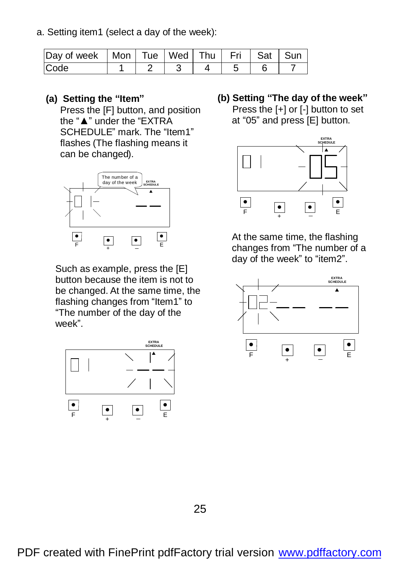a. Setting item1 (select a day of the week):

| Day of week   Mon   Tue   Wed   Thu   Fri   Sat |  |  |  | ∣ Sun |
|-------------------------------------------------|--|--|--|-------|
| <b>Code</b>                                     |  |  |  |       |

#### **(a) Setting the "Item"**

Press the [F] button, and position the "▲" under the "EXTRA SCHEDULE" mark. The "Item1" flashes (The flashing means it can be changed).



Such as example, press the [E] button because the item is not to be changed. At the same time, the flashing changes from "Item1" to "The number of the day of the week".



### **(b) Setting "The day of the week"**

Press the [+] or [-] button to set at "05" and press [E] button.



At the same time, the flashing changes from "The number of a day of the week" to "item2".

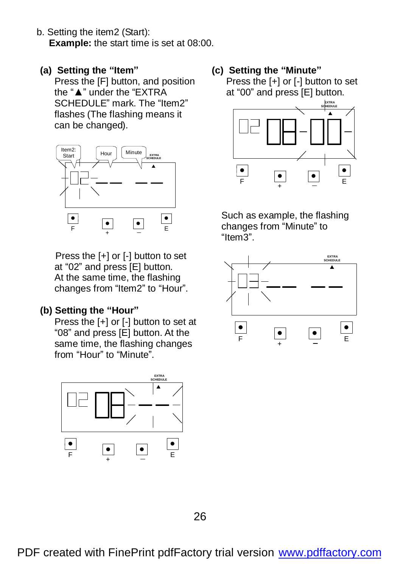- b. Setting the item2 (Start): **Example:** the start time is set at 08:00.
- **(a) Setting the "Item"** Press the [F] button, and position the "▲" under the "EXTRA SCHEDULE" mark. The "Item2" flashes (The flashing means it can be changed).



Press the [+] or [-] button to set at "02" and press [E] button. At the same time, the flashing changes from "Item2" to "Hour".

#### **(b) Setting the "Hour"**

Press the [+] or [-] button to set at "08" and press [E] button. At the same time, the flashing changes from "Hour" to "Minute".



**(c) Setting the "Minute"** Press the [+] or [-] button to set at "00" and press [E] button.



 Such as example, the flashing changes from "Minute" to "Item3".

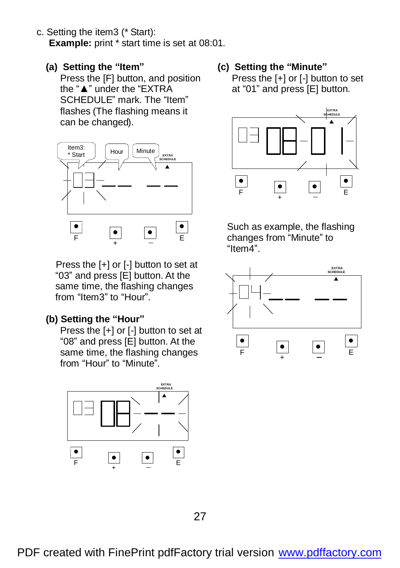- c. Setting the item3 (\* Start): **Example:** print \* start time is set at 08:01.
	- **(a) Setting the "Item"** Press the [F] button, and position the "▲" under the "EXTRA SCHEDULE" mark. The "Item" flashes (The flashing means it can be changed).



Press the [+] or [-] button to set at "03" and press [E] button. At the same time, the flashing changes from "Item3" to "Hour".

### **(b) Setting the "Hour"**

Press the [+] or [-] button to set at "08" and press [E] button. At the same time, the flashing changes from "Hour" to "Minute".



**(c) Setting the "Minute"** Press the [+] or [-] button to set at "01" and press [E] button.



 Such as example, the flashing changes from "Minute" to "Item4".

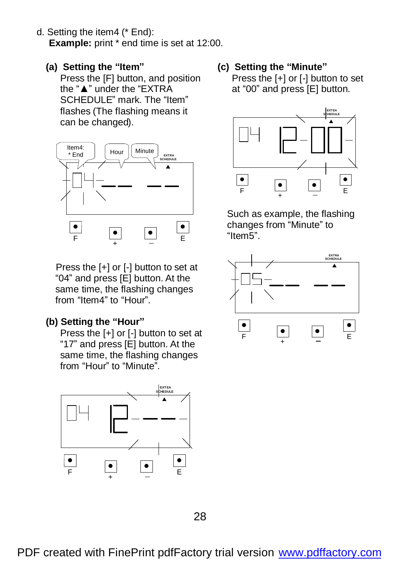- d. Setting the item4 (\* End): **Example:** print \* end time is set at 12:00.
	- **(a) Setting the "Item"** Press the [F] button, and position the "▲" under the "EXTRA SCHEDULE" mark. The "Item" flashes (The flashing means it can be changed).



Press the [+] or [-] button to set at "04" and press [E] button. At the same time, the flashing changes from "Item4" to "Hour".

#### **(b) Setting the "Hour"**

Press the [+] or [-] button to set at "17" and press [E] button. At the same time, the flashing changes from "Hour" to "Minute".



**(c) Setting the "Minute"** Press the [+] or [-] button to set at "00" and press [E] button.



 Such as example, the flashing changes from "Minute" to "Item5".

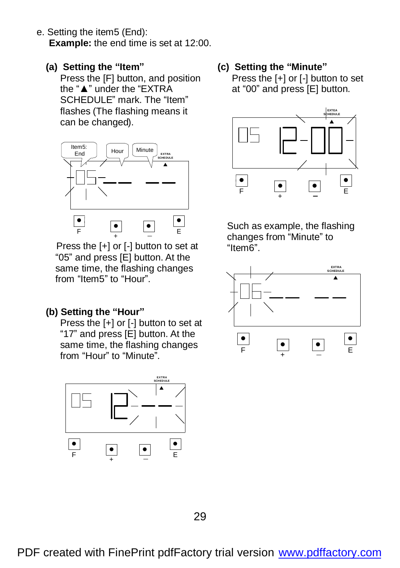- e. Setting the item5 (End): **Example:** the end time is set at 12:00.
	- **(a) Setting the "Item"** Press the [F] button, and position the "▲" under the "EXTRA SCHEDULE" mark. The "Item" flashes (The flashing means it can be changed).



Press the [+] or [-] button to set at "05" and press [E] button. At the same time, the flashing changes from "Item5" to "Hour".

#### **(b) Setting the "Hour"**

Press the [+] or [-] button to set at "17" and press [E] button. At the same time, the flashing changes from "Hour" to "Minute".



**(c) Setting the "Minute"** Press the [+] or [-] button to set at "00" and press [E] button.



 Such as example, the flashing changes from "Minute" to "Item6".

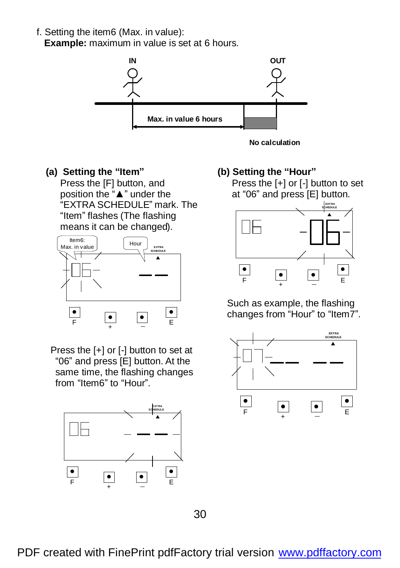f. Setting the item6 (Max. in value):

**Example:** maximum in value is set at 6 hours.



### **(a) Setting the "Item"**

Press the [F] button, and position the "▲" under the "EXTRA SCHEDULE" mark. The "Item" flashes (The flashing means it can be changed).



Press the [+] or [-] button to set at "06" and press [E] button. At the same time, the flashing changes from "Item6" to "Hour".



#### **(b) Setting the "Hour"**

Press the [+] or [-] button to set at "06" and press [E] button.



 Such as example, the flashing changes from "Hour" to "Item7".

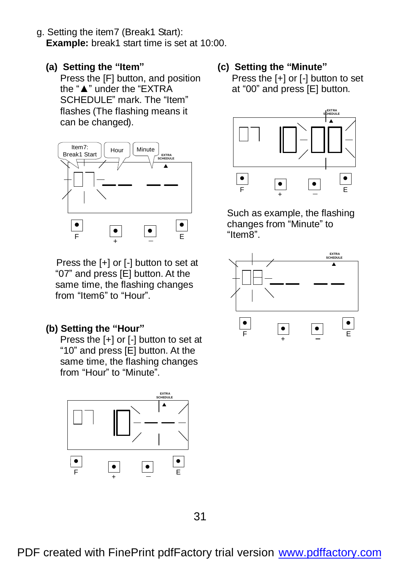- g. Setting the item7 (Break1 Start): **Example:** break1 start time is set at 10:00.
	- **(a) Setting the "Item"** Press the [F] button, and position the "▲" under the "EXTRA SCHEDULE" mark. The "Item" flashes (The flashing means it can be changed).



Press the [+] or [-] button to set at "07" and press [E] button. At the same time, the flashing changes from "Item6" to "Hour"

#### **(b) Setting the "Hour"**

Press the [+] or [-] button to set at "10" and press [E] button. At the same time, the flashing changes from "Hour" to "Minute".



**(c) Setting the "Minute"** Press the [+] or [-] button to set at "00" and press [E] button.



 Such as example, the flashing changes from "Minute" to "Item8".

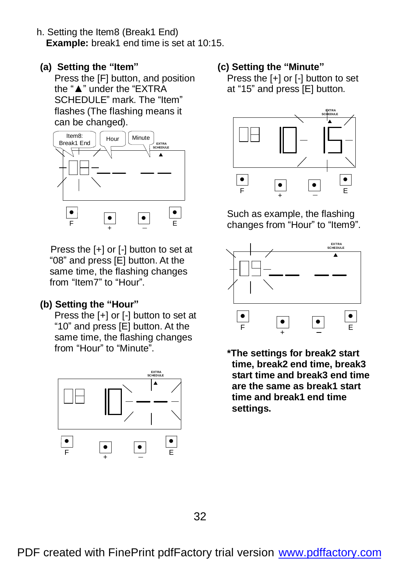- h. Setting the Item8 (Break1 End) **Example:** break1 end time is set at 10:15.
- **(a) Setting the "Item"** Press the [F] button, and position the "▲" under the "EXTRA SCHEDULE" mark. The "Item" flashes (The flashing means it can be changed).



Press the [+] or [-] button to set at "08" and press [E] button. At the same time, the flashing changes from "Item7" to "Hour".

#### **(b) Setting the "Hour"**

Press the [+] or [-] button to set at "10" and press [E] button. At the same time, the flashing changes from "Hour" to "Minute".



#### **(c) Setting the "Minute"**

Press the [+] or [-] button to set at "15" and press [E] button.



 Such as example, the flashing changes from "Hour" to "Item9".



**\*The settings for break2 start time, break2 end time, break3 start time and break3 end time are the same as break1 start time and break1 end time settings.**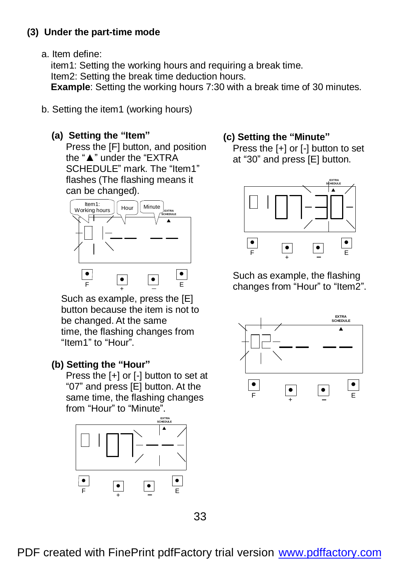#### **(3) Under the part-time mode**

a. Item define:

item1: Setting the working hours and requiring a break time. Item2: Setting the break time deduction hours. **Example:** Setting the working hours 7:30 with a break time of 30 minutes.

- b. Setting the item1 (working hours)
	- **(a) Setting the "Item"**

Press the [F] button, and position the "▲" under the "EXTRA SCHEDULE" mark. The "Item1" flashes (The flashing means it can be changed).



Such as example, press the [E] button because the item is not to be changed. At the same time, the flashing changes from "Item1" to "Hour".

### **(b) Setting the "Hour"**

Press the [+] or [-] button to set at "07" and press [E] button. At the same time, the flashing changes from "Hour" to "Minute".



#### **(c) Setting the "Minute"**

Press the [+] or [-] button to set at "30" and press [E] button.



 Such as example, the flashing changes from "Hour" to "Item2".

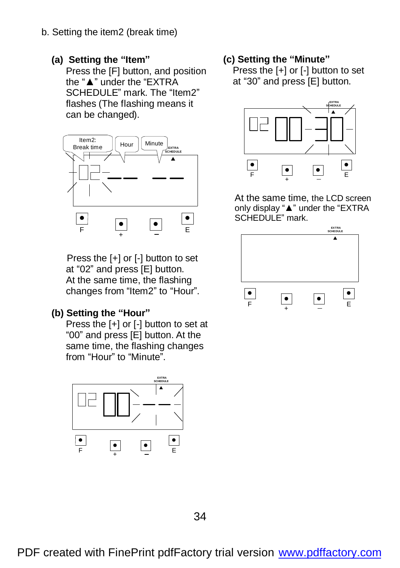- b. Setting the item2 (break time)
	- **(a) Setting the "Item"**

Press the [F] button, and position the "▲" under the "EXTRA SCHEDULE" mark. The "Item2" flashes (The flashing means it can be changed).



Press the [+] or [-] button to set at "02" and press [E] button. At the same time, the flashing changes from "Item2" to "Hour".

### **(b) Setting the "Hour"**

Press the [+] or [-] button to set at "00" and press [E] button. At the same time, the flashing changes from "Hour" to "Minute".



#### **(c) Setting the "Minute"**

Press the [+] or [-] button to set at "30" and press [E] button.



At the same time, the LCD screen only display "▲" under the "EXTRA SCHEDULE" mark.

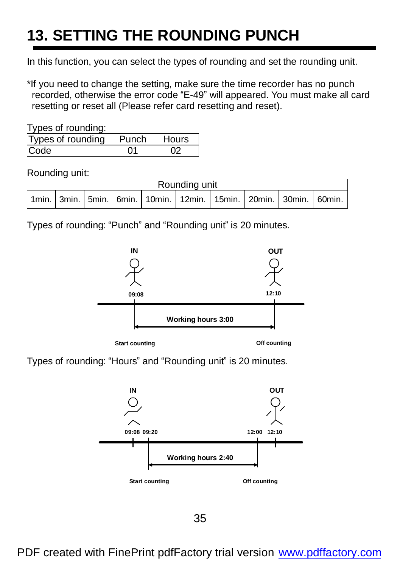# **13. SETTING THE ROUNDING PUNCH**

In this function, you can select the types of rounding and set the rounding unit.

\*If you need to change the setting, make sure the time recorder has no punch recorded, otherwise the error code "E-49" will appeared. You must make all card resetting or reset all (Please refer card resetting and reset).

Types of rounding:

| Types of rounding | Punch | Hours |
|-------------------|-------|-------|
| Code              |       |       |

Rounding unit:

| Rounding unit |  |  |  |                                                                                     |  |  |  |  |  |
|---------------|--|--|--|-------------------------------------------------------------------------------------|--|--|--|--|--|
|               |  |  |  | 1min.   3min.   5min.   6min.   10min.   12min.   15min.   20min.   30min.   60min. |  |  |  |  |  |

Types of rounding: "Punch" and "Rounding unit" is 20 minutes.



**Start counting Off counting**

Types of rounding: "Hours" and "Rounding unit" is 20 minutes.

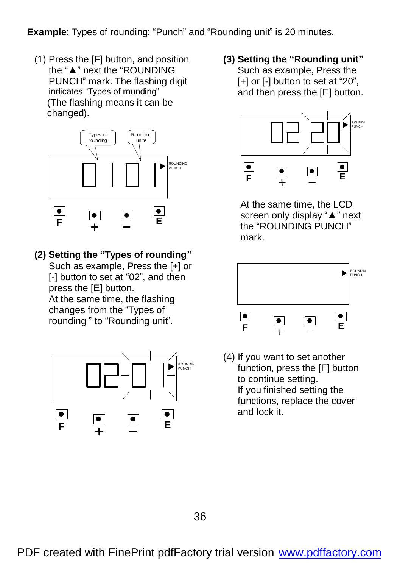**Example:** Types of rounding: "Punch" and "Rounding unit" is 20 minutes.

(1) Press the [F] button, and position the "▲" next the "ROUNDING PUNCH" mark. The flashing digit indicates "Types of rounding" (The flashing means it can be changed).



**(2) Setting the "Types of rounding"**

 Such as example, Press the [+] or [-] button to set at "02", and then press the [E] button. At the same time, the flashing changes from the "Types of rounding " to "Rounding unit".



**(3) Setting the "Rounding unit"** Such as example, Press the [+] or [-] button to set at "20", and then press the [E] button.



At the same time, the LCD screen only display "▲" next the "ROUNDING PUNCH" mark.



(4) If you want to set another function, press the [F] button to continue setting. If you finished setting the functions, replace the cover and lock it.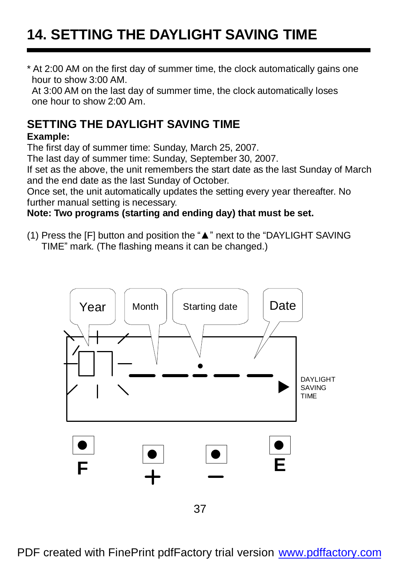## **14. SETTING THE DAYLIGHT SAVING TIME**

\* At 2:00 AM on the first day of summer time, the clock automatically gains one hour to show 3:00 AM.

At 3:00 AM on the last day of summer time, the clock automatically loses one hour to show 2:00 Am.

### **SETTING THE DAYLIGHT SAVING TIME**

#### **Example:**

The first day of summer time: Sunday, March 25, 2007.

The last day of summer time: Sunday, September 30, 2007.

If set as the above, the unit remembers the start date as the last Sunday of March and the end date as the last Sunday of October.

Once set, the unit automatically updates the setting every year thereafter. No further manual setting is necessary.

#### **Note: Two programs (starting and ending day) that must be set.**

(1) Press the [F] button and position the "▲" next to the "DAYLIGHT SAVING TIME" mark. (The flashing means it can be changed.)

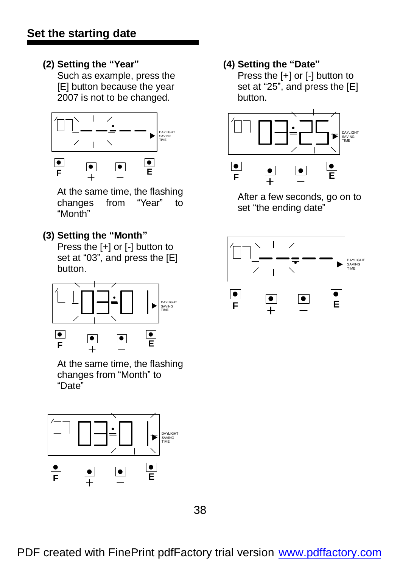**(2) Setting the "Year"**

Such as example, press the [E] button because the year 2007 is not to be changed.



At the same time, the flashing<br>changes from "Year" to changes from "Year" to "Month"

#### **(3) Setting the "Month"**

Press the [+] or [-] button to set at "03", and press the [E] button.



At the same time, the flashing changes from "Month" to "Date"



#### **(4) Setting the "Date"**

Press the [+] or [-] button to set at "25", and press the [E] button.



After a few seconds, go on to set "the ending date"

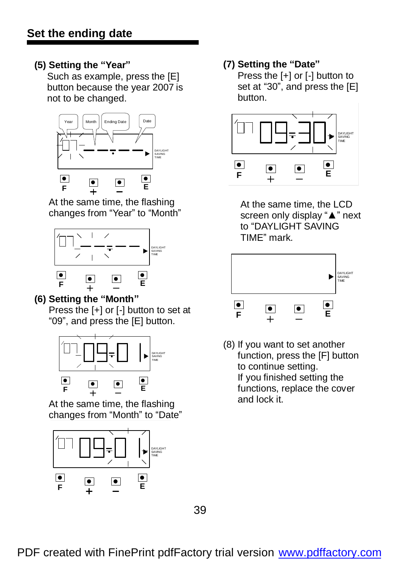#### **(5) Setting the "Year"**

Such as example, press the [E] button because the year 2007 is not to be changed.



At the same time, the flashing changes from "Year" to "Month"



#### $\overline{a}$ **(6) Setting the "Month"**

Press the [+] or [-] button to set at "09", and press the [E] button.



At the same time, the flashing changes from "Month" to "Date"



#### **(7) Setting the "Date"**

Press the [+] or [-] button to set at "30", and press the [E] button.



At the same time, the LCD screen only display "▲" next to "DAYLIGHT SAVING TIME" mark.



(8) If you want to set another function, press the [F] button to continue setting. If you finished setting the functions, replace the cover and lock it.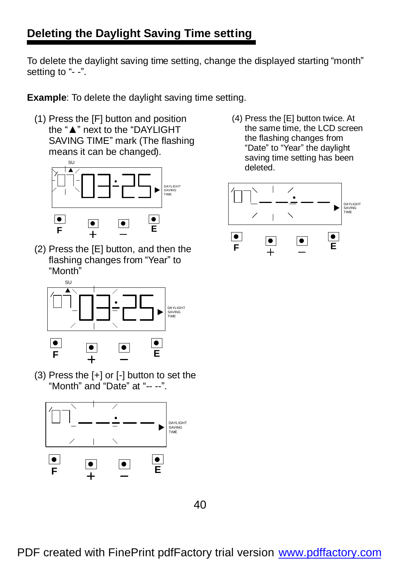### **Deleting the Daylight Saving Time setting**

To delete the daylight saving time setting, change the displayed starting "month" setting to "--".

**Example:** To delete the daylight saving time setting.

(1) Press the [F] button and position the "▲" next to the "DAYLIGHT SAVING TIME" mark (The flashing means it can be changed).



(2) Press the [E] button, and then the flashing changes from "Year" to "Month"



(3) Press the [+] or [-] button to set the "Month" and "Date" at "-- --".



(4) Press the [E] button twice. At the same time, the LCD screen the flashing changes from "Date" to "Year" the daylight saving time setting has been deleted.

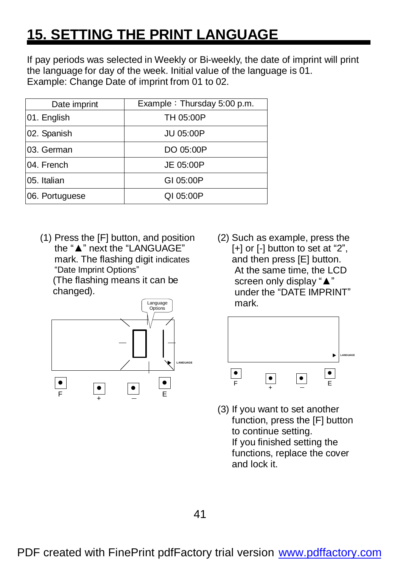## **15. SETTING THE PRINT LANGUAGE**

If pay periods was selected in Weekly or Bi-weekly, the date of imprint will print the language for day of the week. Initial value of the language is 01. Example: Change Date of imprint from 01 to 02.

| Date imprint   | Example: Thursday 5:00 p.m. |
|----------------|-----------------------------|
| 01. English    | TH 05:00P                   |
| 02. Spanish    | <b>JU 05:00P</b>            |
| 03. German     | DO 05:00P                   |
| 04. French     | JE 05:00P                   |
| 05. Italian    | GI 05:00P                   |
| 06. Portuguese | QI 05:00P                   |

(1) Press the [F] button, and position the "▲" next the "LANGUAGE" mark. The flashing digit indicates "Date Imprint Options"

(The flashing means it can be changed).



(2) Such as example, press the [+] or [-] button to set at "2", and then press [E] button. At the same time, the LCD screen only display "▲" under the "DATE IMPRINT" mark.



(3) If you want to set another function, press the [F] button to continue setting. If you finished setting the functions, replace the cover and lock it.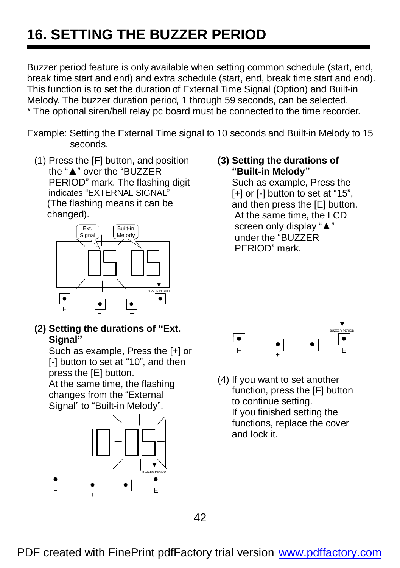## **16. SETTING THE BUZZER PERIOD**

Buzzer period feature is only available when setting common schedule (start, end, break time start and end) and extra schedule (start, end, break time start and end). This function is to set the duration of External Time Signal (Option) and Built-in Melody. The buzzer duration period, 1 through 59 seconds, can be selected. \* The optional siren/bell relay pc board must be connected to the time recorder.

- Example: Setting the External Time signal to 10 seconds and Built-in Melody to 15 seconds.
	- (1) Press the [F] button, and position the "▲" over the "BUZZER PERIOD" mark. The flashing digit indicates "EXTERNAL SIGNAL" (The flashing means it can be changed).



**(2) Setting the durations of "Ext. Signal"**

 Such as example, Press the [+] or [-] button to set at "10", and then press the [E] button.

At the same time, the flashing changes from the "External Signal" to "Built-in Melody".



**(3) Setting the durations of "Built-in Melody"**

 Such as example, Press the [+] or [-] button to set at "15", and then press the [E] button. At the same time, the LCD screen only display "▲" under the "BUZZER PERIOD" mark.



(4) If you want to set another function, press the [F] button to continue setting. If you finished setting the functions, replace the cover and lock it.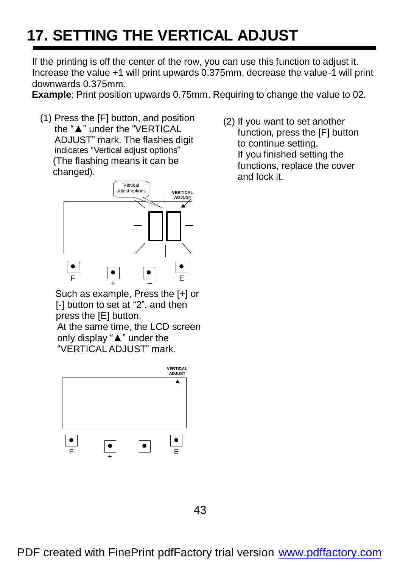# **17. SETTING THE VERTICAL ADJUST**

If the printing is off the center of the row, you can use this function to adjust it. Increase the value +1 will print upwards 0.375mm, decrease the value -1 will print downwards 0.375mm.

**Example**: Print position upwards 0.75mm. Requiring to change the value to 02.

(1) Press the [F] button, and position the "▲" under the "VERTICAL ADJUST" mark. The flashes digit indicates "Vertical adiust options" (The flashing means it can be changed).



 Such as example, Press the [+] or [-] button to set at "2", and then press the [E] button. At the same time, the LCD screen only display "▲" under the

"VERTICAL ADJUST" mark.



(2) If you want to set another function, press the [F] button to continue setting. If you finished setting the functions, replace the cover and lock it.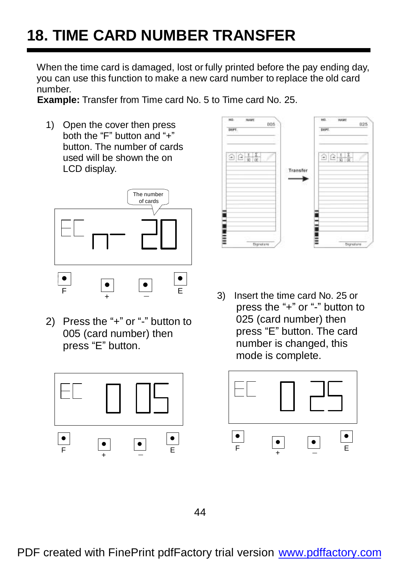# **18. TIME CARD NUMBER TRANSFER**

When the time card is damaged, lost or fully printed before the pay ending day, you can use this function to make a new card number to replace the old card number.

**Example:** Transfer from Time card No. 5 to Time card No. 25.

1) Open the cover then press both the "F" button and "+" button. The number of cards used will be shown the on LCD display.



2) Press the "+" or "-" button to 005 (card number) then press "E" button.





3) Insert the time card No. 25 or press the "+" or "-" button to 025 (card number) then press "E" button. The card number is changed, this mode is complete.

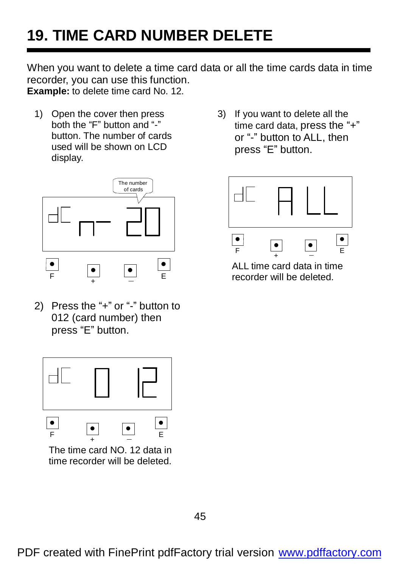# **19. TIME CARD NUMBER DELETE**

When you want to delete a time card data or all the time cards data in time recorder, you can use this function. **Example:** to delete time card No. 12.

1) Open the cover then press both the "F" button and "-" button. The number of cards used will be shown on LCD display.



2) Press the "+" or "-" button to 012 (card number) then press "E" button.



The time card NO. 12 data in time recorder will be deleted. 3) If you want to delete all the time card data, press the "+" or "-" button to ALL, then press "E" button.



ALL time card data in time recorder will be deleted.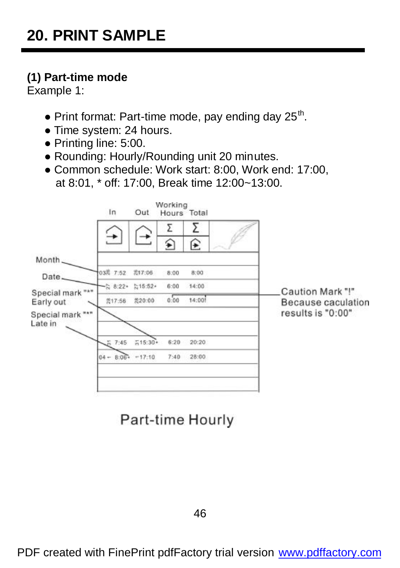### **(1) Part-time mode**

Example 1:

- $\bullet$  Print format: Part-time mode, pay ending day 25<sup>th</sup>.
- Time system: 24 hours.
- Printing line: 5:00.
- Rounding: Hourly/Rounding unit 20 minutes.
- Common schedule: Work start: 8:00, Work end: 17:00, at 8:01, \* off: 17:00, Break time 12:00~13:00.

|                             | In                          | Out       | Working<br>Hours Total |        |                    |
|-----------------------------|-----------------------------|-----------|------------------------|--------|--------------------|
|                             |                             |           | Σ                      |        |                    |
|                             |                             |           | ≨                      | €      |                    |
| Month                       |                             |           |                        |        |                    |
| Date.                       | 03号 7:52                    | g17:06    | 8:00                   | 8:00   |                    |
| Special mark ***            | $-\frac{1}{\sqrt{2}}$ 8:22+ | 15:52-    | 6:00                   | 14:00  | Caution Mark "!"   |
| Early out                   | <b>简17:56</b>               | 类20:00    | 0.00                   | 14:00! | Because caculation |
| Special mark ***<br>Late in |                             |           |                        |        | results is "0:00"  |
|                             | 7:45                        | $515:30*$ | 6:20                   | 20:20  |                    |
|                             | $04 - 8:06 - -17:10$        |           | 7:40                   | 28:00  |                    |
|                             |                             |           |                        |        |                    |

Part-time Hourly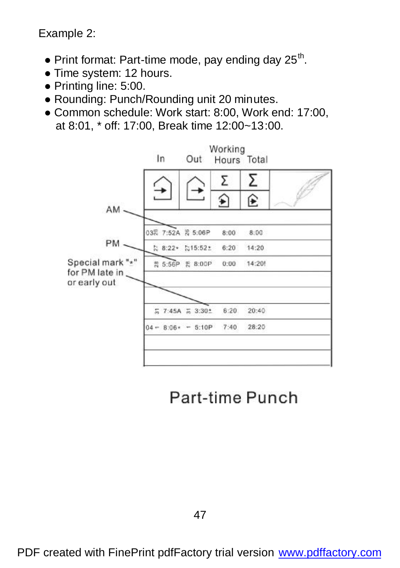Example 2:

- $\bullet$  Print format: Part-time mode, pay ending day 25<sup>th</sup>.
- Time system: 12 hours.
- Printing line: 5:00.
- Rounding: Punch/Rounding unit 20 minutes.
- Common schedule: Work start: 8:00, Work end: 17:00, at 8:01, \* off: 17:00, Break time 12:00~13:00.



Part-time Punch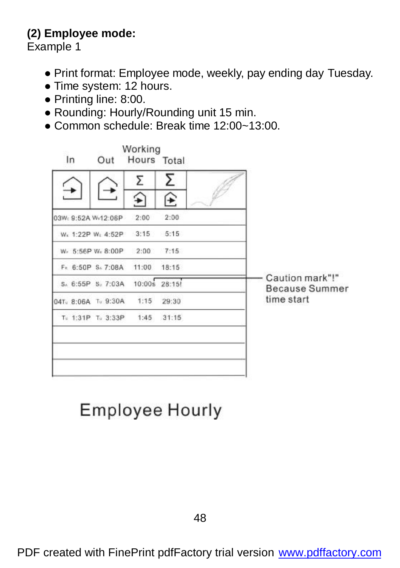### **(2) Employee mode:**

Example 1

- Print format: Employee mode, weekly, pay ending day Tuesday.
- Time system: 12 hours.
- Printing line: 8:00.
- Rounding: Hourly/Rounding unit 15 min.
- Common schedule: Break time 12:00~13:00



# **Employee Hourly**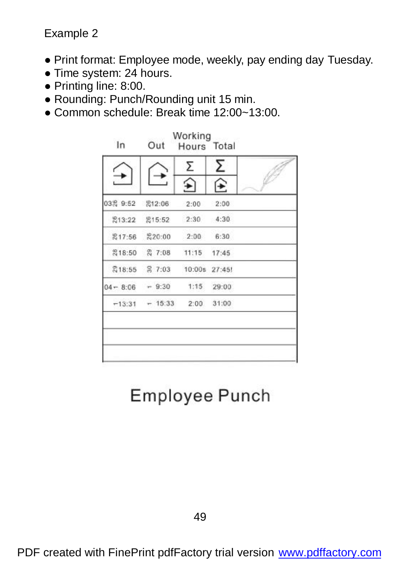Example 2

- Print format: Employee mode, weekly, pay ending day Tuesday.
- Time system: 24 hours.
- Printing line: 8:00.
- Rounding: Punch/Rounding unit 15 min.
- Common schedule: Break time 12:00~13:00.



# Employee Punch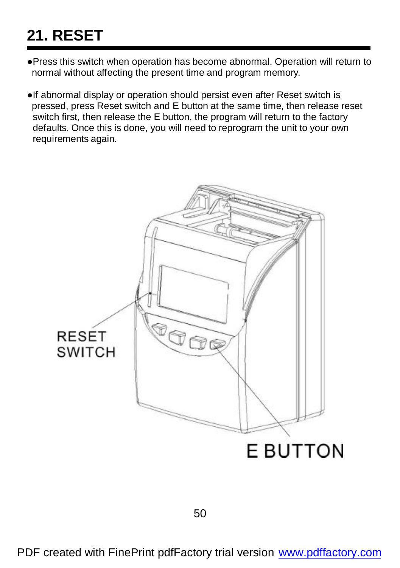# **21. RESET**

- ●Press this switch when operation has become abnormal. Operation will return to normal without affecting the present time and program memory.
- ●If abnormal display or operation should persist even after Reset switch is pressed, press Reset switch and E button at the same time, then release reset switch first, then release the E button, the program will return to the factory defaults. Once this is done, you will need to reprogram the unit to your own requirements again.

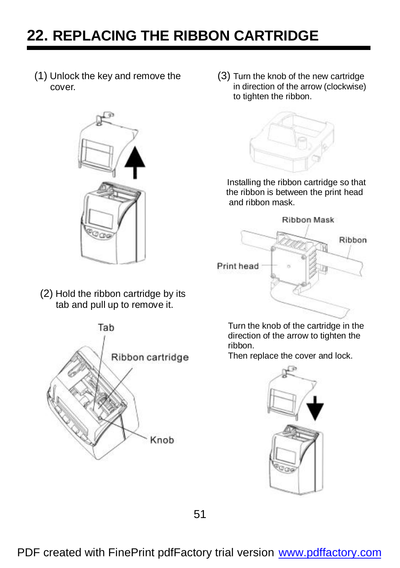## **22. REPLACING THE RIBBON CARTRIDGE**

(1) Unlock the key and remove the cover.



(2) Hold the ribbon cartridge by its tab and pull up to remove it.



(3) Turn the knob of the new cartridge in direction of the arrow (clockwise) to tighten the ribbon.



Installing the ribbon cartridge so that the ribbon is between the print head and ribbon mask.



 Turn the knob of the cartridge in the direction of the arrow to tighten the ribbon.

Then replace the cover and lock.

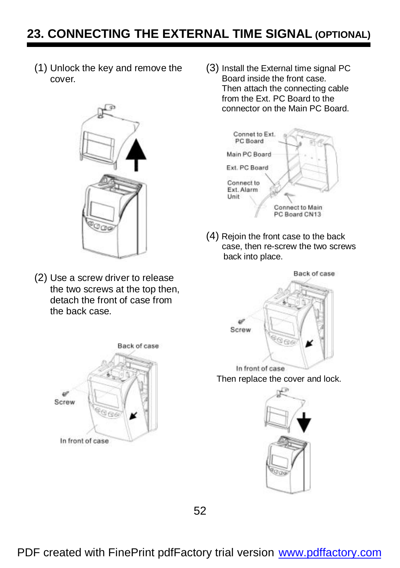## **23. CONNECTING THE EXTERNAL TIME SIGNAL (OPTIONAL)**

(1) Unlock the key and remove the cover.



(2) Use a screw driver to release the two screws at the top then, detach the front of case from the back case.



(3) Install the External time signal PC Board inside the front case. Then attach the connecting cable from the Ext. PC Board to the connector on the Main PC Board.



(4) Rejoin the front case to the back case, then re-screw the two screws back into place.



Then replace the cover and lock.

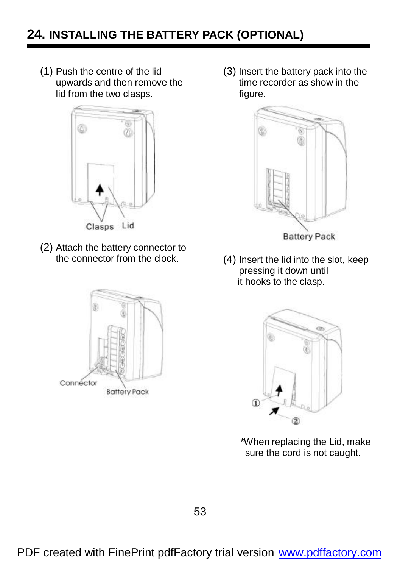## **24. INSTALLING THE BATTERY PACK (OPTIONAL)**

(1) Push the centre of the lid upwards and then remove the lid from the two clasps.



(2) Attach the battery connector to the connector from the clock.



(3) Insert the battery pack into the time recorder as show in the figure.



(4) Insert the lid into the slot, keep pressing it down until it hooks to the clasp.



\*When replacing the Lid, make sure the cord is not caught.